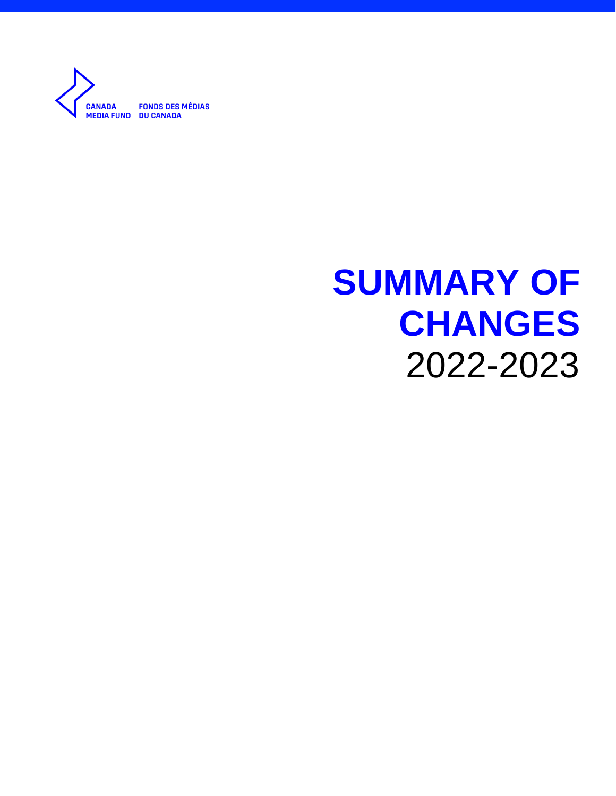

# **SUMMARY OF CHANGES** 2022-2023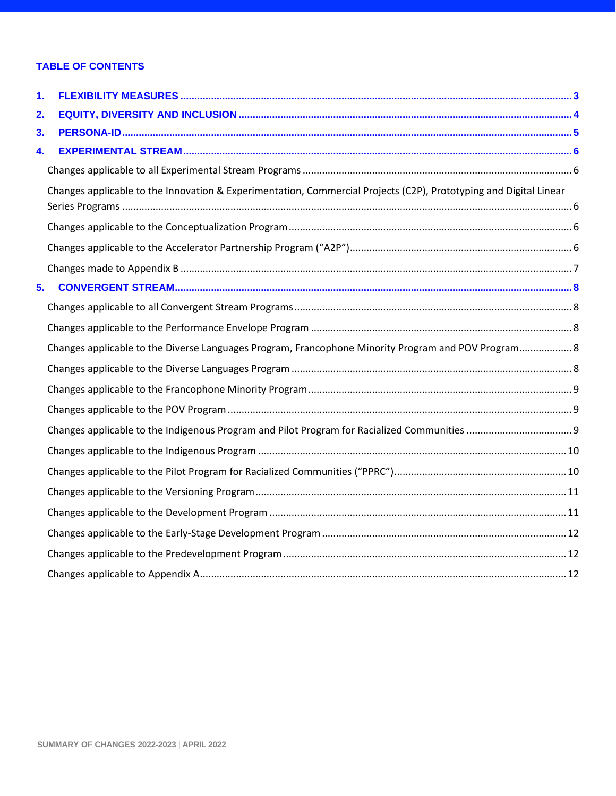## **TABLE OF CONTENTS**

| 1. |                                                                                                                   |  |
|----|-------------------------------------------------------------------------------------------------------------------|--|
| 2. |                                                                                                                   |  |
| 3. |                                                                                                                   |  |
| 4. |                                                                                                                   |  |
|    |                                                                                                                   |  |
|    | Changes applicable to the Innovation & Experimentation, Commercial Projects (C2P), Prototyping and Digital Linear |  |
|    |                                                                                                                   |  |
|    |                                                                                                                   |  |
|    |                                                                                                                   |  |
| 5. |                                                                                                                   |  |
|    |                                                                                                                   |  |
|    |                                                                                                                   |  |
|    | Changes applicable to the Diverse Languages Program, Francophone Minority Program and POV Program 8               |  |
|    |                                                                                                                   |  |
|    |                                                                                                                   |  |
|    |                                                                                                                   |  |
|    |                                                                                                                   |  |
|    |                                                                                                                   |  |
|    |                                                                                                                   |  |
|    |                                                                                                                   |  |
|    |                                                                                                                   |  |
|    |                                                                                                                   |  |
|    |                                                                                                                   |  |
|    |                                                                                                                   |  |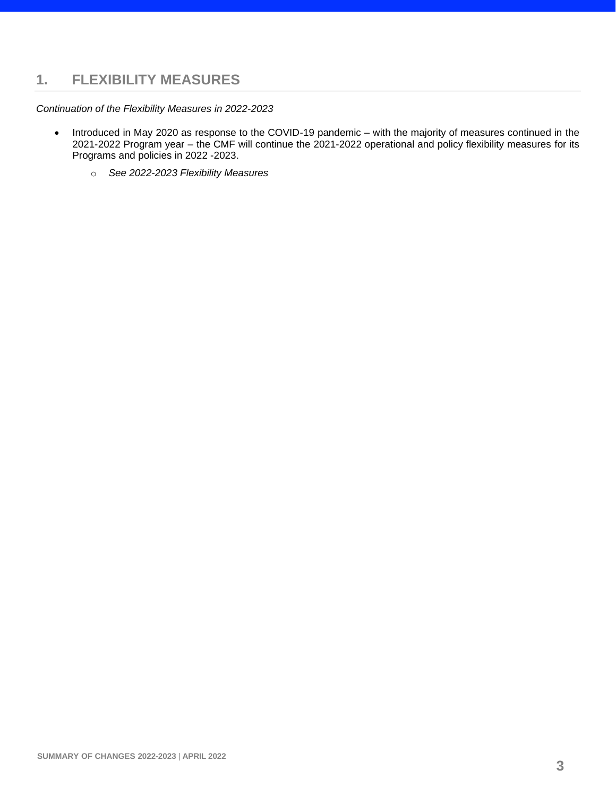## <span id="page-2-0"></span>**1. FLEXIBILITY MEASURES**

*Continuation of the Flexibility Measures in 2022-2023*

- Introduced in May 2020 as response to the COVID-19 pandemic with the majority of measures continued in the 2021-2022 Program year – the CMF will continue the 2021-2022 operational and policy flexibility measures for its Programs and policies in 2022 -2023.
	- o *See 2022-2023 Flexibility Measures*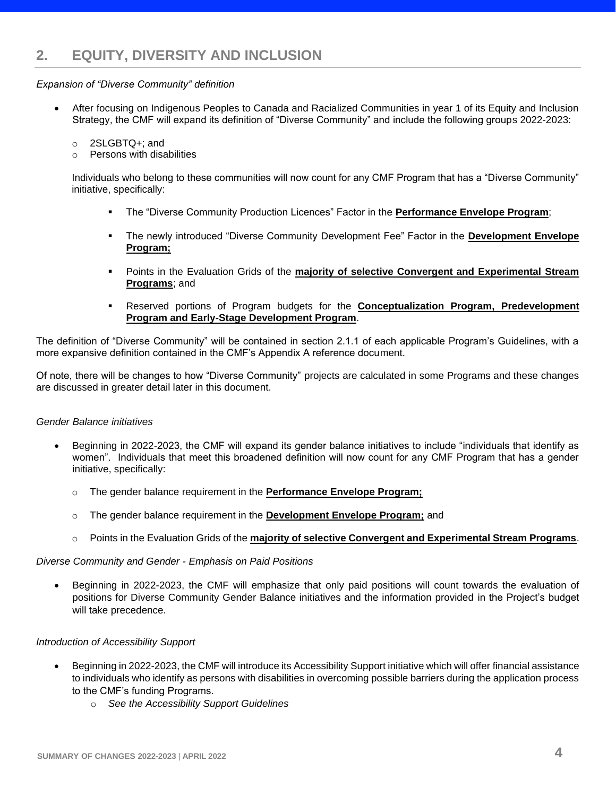## <span id="page-3-0"></span>*Expansion of "Diverse Community" definition*

- After focusing on Indigenous Peoples to Canada and Racialized Communities in year 1 of its Equity and Inclusion Strategy, the CMF will expand its definition of "Diverse Community" and include the following groups 2022-2023:
	- o 2SLGBTQ+; and
	- $\circ$  Persons with disabilities

Individuals who belong to these communities will now count for any CMF Program that has a "Diverse Community" initiative, specifically:

- The "Diverse Community Production Licences" Factor in the **Performance Envelope Program**;
- The newly introduced "Diverse Community Development Fee" Factor in the **Development Envelope Program;**
- Points in the Evaluation Grids of the **majority of selective Convergent and Experimental Stream Programs**; and
- Reserved portions of Program budgets for the **Conceptualization Program, Predevelopment Program and Early-Stage Development Program**.

The definition of "Diverse Community" will be contained in section 2.1.1 of each applicable Program's Guidelines, with a more expansive definition contained in the CMF's Appendix A reference document.

Of note, there will be changes to how "Diverse Community" projects are calculated in some Programs and these changes are discussed in greater detail later in this document.

## *Gender Balance initiatives*

- Beginning in 2022-2023, the CMF will expand its gender balance initiatives to include "individuals that identify as women". Individuals that meet this broadened definition will now count for any CMF Program that has a gender initiative, specifically:
	- o The gender balance requirement in the **Performance Envelope Program;**
	- o The gender balance requirement in the **Development Envelope Program;** and
	- o Points in the Evaluation Grids of the **majority of selective Convergent and Experimental Stream Programs**.

## *Diverse Community and Gender - Emphasis on Paid Positions*

• Beginning in 2022-2023, the CMF will emphasize that only paid positions will count towards the evaluation of positions for Diverse Community Gender Balance initiatives and the information provided in the Project's budget will take precedence.

## *Introduction of Accessibility Support*

- Beginning in 2022-2023, the CMF will introduce its Accessibility Support initiative which will offer financial assistance to individuals who identify as persons with disabilities in overcoming possible barriers during the application process to the CMF's funding Programs.
	- o *See the Accessibility Support Guidelines*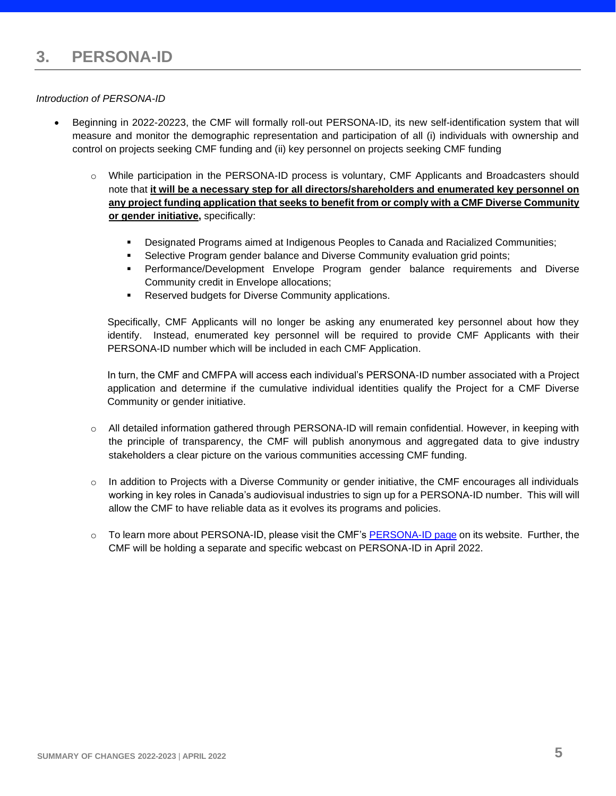## <span id="page-4-0"></span>*Introduction of PERSONA-ID*

- Beginning in 2022-20223, the CMF will formally roll-out PERSONA-ID, its new self-identification system that will measure and monitor the demographic representation and participation of all (i) individuals with ownership and control on projects seeking CMF funding and (ii) key personnel on projects seeking CMF funding
	- o While participation in the PERSONA-ID process is voluntary, CMF Applicants and Broadcasters should note that **it will be a necessary step for all directors/shareholders and enumerated key personnel on any project funding application that seeks to benefit from or comply with a CMF Diverse Community or gender initiative,** specifically:
		- **Designated Programs aimed at Indigenous Peoples to Canada and Racialized Communities;**
		- **EXECT** Selective Program gender balance and Diverse Community evaluation grid points;
		- Performance/Development Envelope Program gender balance requirements and Diverse Community credit in Envelope allocations;
		- Reserved budgets for Diverse Community applications.

Specifically, CMF Applicants will no longer be asking any enumerated key personnel about how they identify. Instead, enumerated key personnel will be required to provide CMF Applicants with their PERSONA-ID number which will be included in each CMF Application.

In turn, the CMF and CMFPA will access each individual's PERSONA-ID number associated with a Project application and determine if the cumulative individual identities qualify the Project for a CMF Diverse Community or gender initiative.

- o All detailed information gathered through PERSONA-ID will remain confidential. However, in keeping with the principle of transparency, the CMF will publish anonymous and aggregated data to give industry stakeholders a clear picture on the various communities accessing CMF funding.
- $\circ$  In addition to Projects with a Diverse Community or gender initiative, the CMF encourages all individuals working in key roles in Canada's audiovisual industries to sign up for a PERSONA-ID number. This will will allow the CMF to have reliable data as it evolves its programs and policies.
- $\circ$  To learn more about PERSONA-ID, please visit the CMF's **PERSONA-ID page on its website.** Further, the CMF will be holding a separate and specific webcast on PERSONA-ID in April 2022.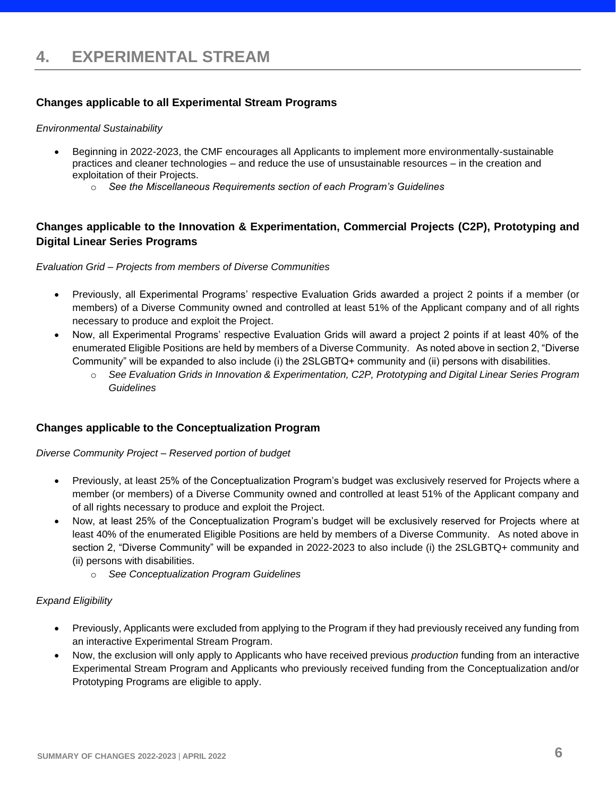## <span id="page-5-1"></span><span id="page-5-0"></span>**Changes applicable to all Experimental Stream Programs**

## *Environmental Sustainability*

- Beginning in 2022-2023, the CMF encourages all Applicants to implement more environmentally-sustainable practices and cleaner technologies – and reduce the use of unsustainable resources – in the creation and exploitation of their Projects.
	- o *See the Miscellaneous Requirements section of each Program's Guidelines*

## <span id="page-5-2"></span>**Changes applicable to the Innovation & Experimentation, Commercial Projects (C2P), Prototyping and Digital Linear Series Programs**

## *Evaluation Grid – Projects from members of Diverse Communities*

- Previously, all Experimental Programs' respective Evaluation Grids awarded a project 2 points if a member (or members) of a Diverse Community owned and controlled at least 51% of the Applicant company and of all rights necessary to produce and exploit the Project.
- Now, all Experimental Programs' respective Evaluation Grids will award a project 2 points if at least 40% of the enumerated Eligible Positions are held by members of a Diverse Community. As noted above in section 2, "Diverse Community" will be expanded to also include (i) the 2SLGBTQ+ community and (ii) persons with disabilities.
	- o *See Evaluation Grids in Innovation & Experimentation, C2P, Prototyping and Digital Linear Series Program Guidelines*

## <span id="page-5-3"></span>**Changes applicable to the Conceptualization Program**

## *Diverse Community Project – Reserved portion of budget*

- Previously, at least 25% of the Conceptualization Program's budget was exclusively reserved for Projects where a member (or members) of a Diverse Community owned and controlled at least 51% of the Applicant company and of all rights necessary to produce and exploit the Project.
- Now, at least 25% of the Conceptualization Program's budget will be exclusively reserved for Projects where at least 40% of the enumerated Eligible Positions are held by members of a Diverse Community. As noted above in section 2, "Diverse Community" will be expanded in 2022-2023 to also include (i) the 2SLGBTQ+ community and (ii) persons with disabilities.
	- o *See Conceptualization Program Guidelines*

## *Expand Eligibility*

- Previously, Applicants were excluded from applying to the Program if they had previously received any funding from an interactive Experimental Stream Program.
- <span id="page-5-4"></span>• Now, the exclusion will only apply to Applicants who have received previous *production* funding from an interactive Experimental Stream Program and Applicants who previously received funding from the Conceptualization and/or Prototyping Programs are eligible to apply.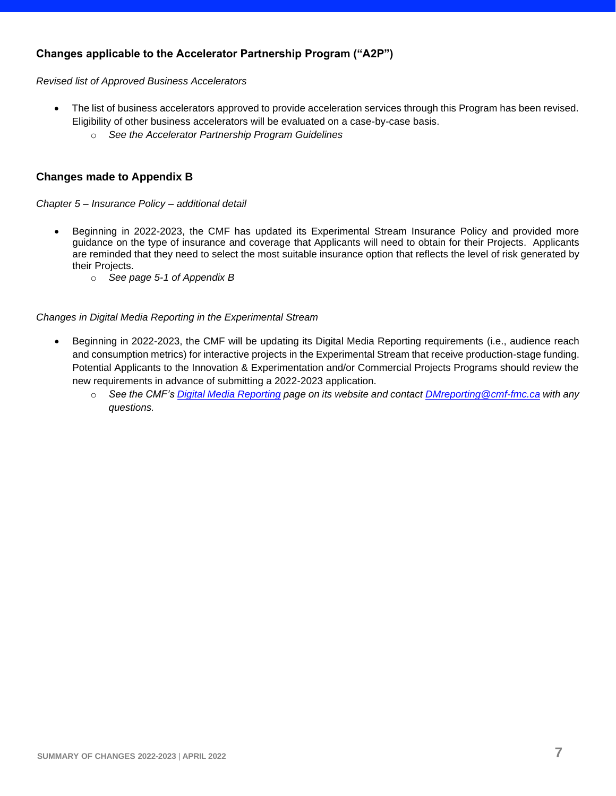## **Changes applicable to the Accelerator Partnership Program ("A2P")**

*Revised list of Approved Business Accelerators*

- The list of business accelerators approved to provide acceleration services through this Program has been revised. Eligibility of other business accelerators will be evaluated on a case-by-case basis.
	- o *See the Accelerator Partnership Program Guidelines*

## <span id="page-6-0"></span>**Changes made to Appendix B**

*Chapter 5 – Insurance Policy – additional detail*

- Beginning in 2022-2023, the CMF has updated its Experimental Stream Insurance Policy and provided more guidance on the type of insurance and coverage that Applicants will need to obtain for their Projects. Applicants are reminded that they need to select the most suitable insurance option that reflects the level of risk generated by their Projects.
	- o *See page 5-1 of Appendix B*

## *Changes in Digital Media Reporting in the Experimental Stream*

- Beginning in 2022-2023, the CMF will be updating its Digital Media Reporting requirements (i.e., audience reach and consumption metrics) for interactive projects in the Experimental Stream that receive production-stage funding. Potential Applicants to the Innovation & Experimentation and/or Commercial Projects Programs should review the new requirements in advance of submitting a 2022-2023 application.
	- o *See the CMF's [Digital Media Reporting](https://cmf-fmc.ca/digital-media-reporting/) page on its website and contact [DMreporting@cmf-fmc.ca](mailto:DMreporting@cmf-fmc.ca) with any questions.*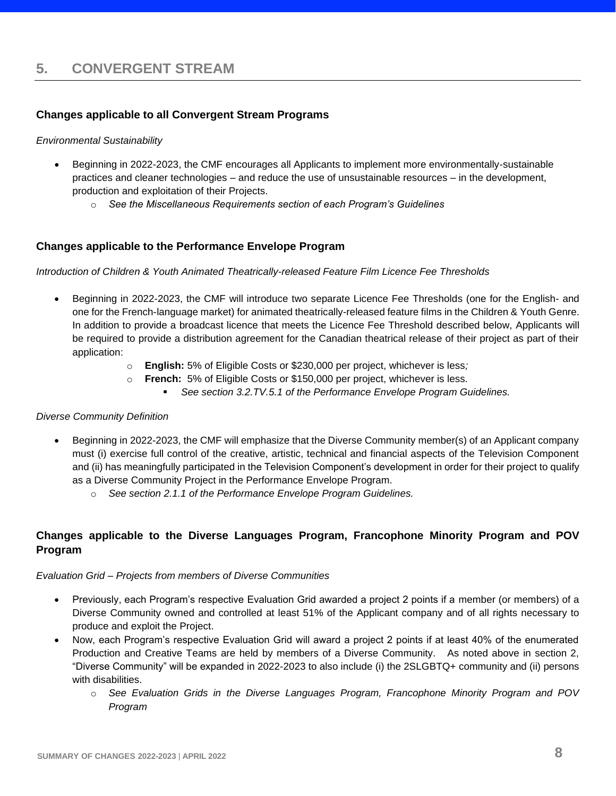## <span id="page-7-1"></span><span id="page-7-0"></span>**Changes applicable to all Convergent Stream Programs**

## *Environmental Sustainability*

- Beginning in 2022-2023, the CMF encourages all Applicants to implement more environmentally-sustainable practices and cleaner technologies – and reduce the use of unsustainable resources – in the development, production and exploitation of their Projects.
	- o *See the Miscellaneous Requirements section of each Program's Guidelines*

## <span id="page-7-2"></span>**Changes applicable to the Performance Envelope Program**

## *Introduction of Children & Youth Animated Theatrically-released Feature Film Licence Fee Thresholds*

- Beginning in 2022-2023, the CMF will introduce two separate Licence Fee Thresholds (one for the English- and one for the French-language market) for animated theatrically-released feature films in the Children & Youth Genre. In addition to provide a broadcast licence that meets the Licence Fee Threshold described below, Applicants will be required to provide a distribution agreement for the Canadian theatrical release of their project as part of their application:
	- o **English:** 5% of Eligible Costs or \$230,000 per project, whichever is less*;*
	- o **French:** 5% of Eligible Costs or \$150,000 per project, whichever is less*.* 
		- *See section 3.2.TV.5.1 of the Performance Envelope Program Guidelines.*

## *Diverse Community Definition*

- Beginning in 2022-2023, the CMF will emphasize that the Diverse Community member(s) of an Applicant company must (i) exercise full control of the creative, artistic, technical and financial aspects of the Television Component and (ii) has meaningfully participated in the Television Component's development in order for their project to qualify as a Diverse Community Project in the Performance Envelope Program.
	- o *See section 2.1.1 of the Performance Envelope Program Guidelines.*

## <span id="page-7-3"></span>**Changes applicable to the Diverse Languages Program, Francophone Minority Program and POV Program**

## *Evaluation Grid – Projects from members of Diverse Communities*

- Previously, each Program's respective Evaluation Grid awarded a project 2 points if a member (or members) of a Diverse Community owned and controlled at least 51% of the Applicant company and of all rights necessary to produce and exploit the Project.
- <span id="page-7-4"></span>• Now, each Program's respective Evaluation Grid will award a project 2 points if at least 40% of the enumerated Production and Creative Teams are held by members of a Diverse Community. As noted above in section 2, "Diverse Community" will be expanded in 2022-2023 to also include (i) the 2SLGBTQ+ community and (ii) persons with disabilities.
	- o *See Evaluation Grids in the Diverse Languages Program, Francophone Minority Program and POV Program*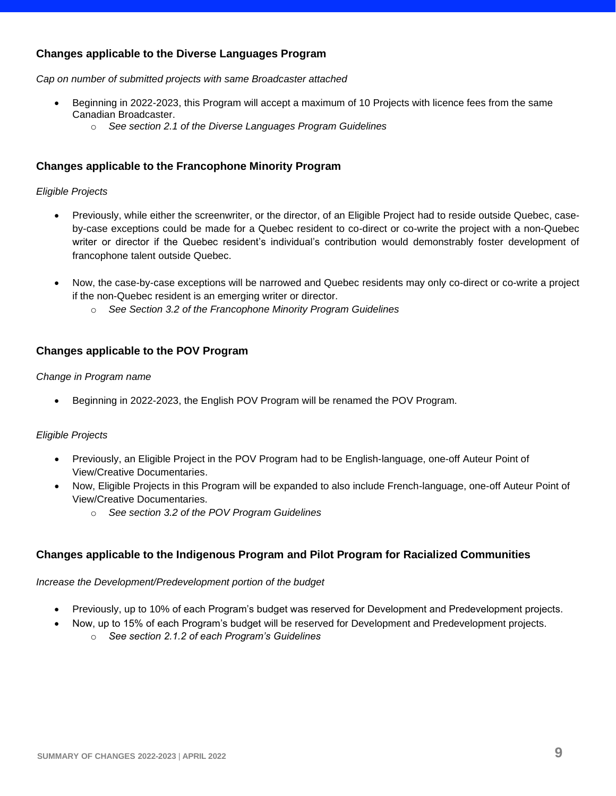## **Changes applicable to the Diverse Languages Program**

*Cap on number of submitted projects with same Broadcaster attached*

- Beginning in 2022-2023, this Program will accept a maximum of 10 Projects with licence fees from the same Canadian Broadcaster.
	- o *See section 2.1 of the Diverse Languages Program Guidelines*

## <span id="page-8-0"></span>**Changes applicable to the Francophone Minority Program**

## *Eligible Projects*

- Previously, while either the screenwriter, or the director, of an Eligible Project had to reside outside Quebec, caseby-case exceptions could be made for a Quebec resident to co-direct or co-write the project with a non-Quebec writer or director if the Quebec resident's individual's contribution would demonstrably foster development of francophone talent outside Quebec.
- Now, the case-by-case exceptions will be narrowed and Quebec residents may only co-direct or co-write a project if the non-Quebec resident is an emerging writer or director.
	- o *See Section 3.2 of the Francophone Minority Program Guidelines*

## <span id="page-8-1"></span>**Changes applicable to the POV Program**

## *Change in Program name*

• Beginning in 2022-2023, the English POV Program will be renamed the POV Program.

## *Eligible Projects*

- Previously, an Eligible Project in the POV Program had to be English-language, one-off Auteur Point of View/Creative Documentaries.
- Now, Eligible Projects in this Program will be expanded to also include French-language, one-off Auteur Point of View/Creative Documentaries.
	- o *See section 3.2 of the POV Program Guidelines*

## <span id="page-8-2"></span>**Changes applicable to the Indigenous Program and Pilot Program for Racialized Communities**

## *Increase the Development/Predevelopment portion of the budget*

- Previously, up to 10% of each Program's budget was reserved for Development and Predevelopment projects.
- Now, up to 15% of each Program's budget will be reserved for Development and Predevelopment projects.
	- o *See section 2.1.2 of each Program's Guidelines*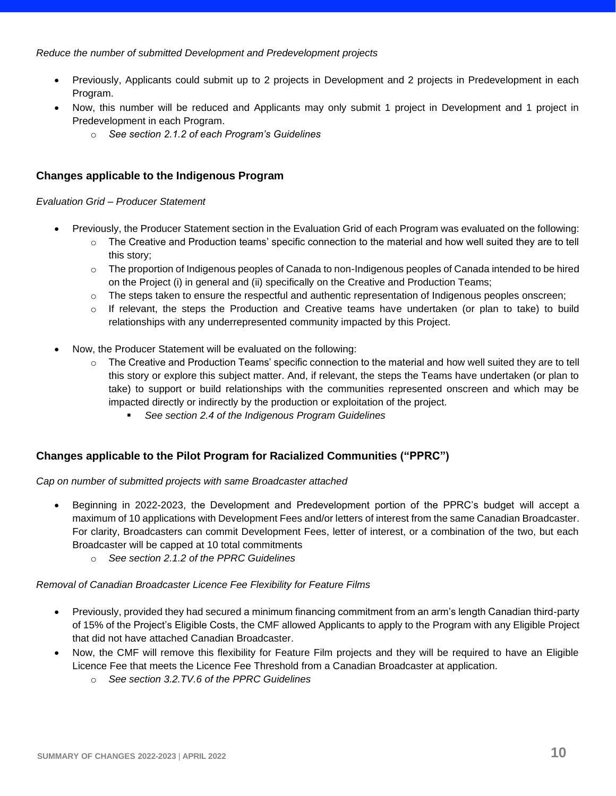## *Reduce the number of submitted Development and Predevelopment projects*

- Previously, Applicants could submit up to 2 projects in Development and 2 projects in Predevelopment in each Program.
- Now, this number will be reduced and Applicants may only submit 1 project in Development and 1 project in Predevelopment in each Program.
	- o *See section 2.1.2 of each Program's Guidelines*

## <span id="page-9-0"></span>**Changes applicable to the Indigenous Program**

*Evaluation Grid – Producer Statement*

- Previously, the Producer Statement section in the Evaluation Grid of each Program was evaluated on the following:
	- $\circ$  The Creative and Production teams' specific connection to the material and how well suited they are to tell this story;
	- $\circ$  The proportion of Indigenous peoples of Canada to non-Indigenous peoples of Canada intended to be hired on the Project (i) in general and (ii) specifically on the Creative and Production Teams;
	- $\circ$  The steps taken to ensure the respectful and authentic representation of Indigenous peoples onscreen;
	- $\circ$  If relevant, the steps the Production and Creative teams have undertaken (or plan to take) to build relationships with any underrepresented community impacted by this Project.
- Now, the Producer Statement will be evaluated on the following:
	- $\circ$  The Creative and Production Teams' specific connection to the material and how well suited they are to tell this story or explore this subject matter. And, if relevant, the steps the Teams have undertaken (or plan to take) to support or build relationships with the communities represented onscreen and which may be impacted directly or indirectly by the production or exploitation of the project.
		- *See section 2.4 of the Indigenous Program Guidelines*

## <span id="page-9-1"></span>**Changes applicable to the Pilot Program for Racialized Communities ("PPRC")**

*Cap on number of submitted projects with same Broadcaster attached*

- Beginning in 2022-2023, the Development and Predevelopment portion of the PPRC's budget will accept a maximum of 10 applications with Development Fees and/or letters of interest from the same Canadian Broadcaster. For clarity, Broadcasters can commit Development Fees, letter of interest, or a combination of the two, but each Broadcaster will be capped at 10 total commitments
	- o *See section 2.1.2 of the PPRC Guidelines*

## *Removal of Canadian Broadcaster Licence Fee Flexibility for Feature Films*

- Previously, provided they had secured a minimum financing commitment from an arm's length Canadian third-party of 15% of the Project's Eligible Costs, the CMF allowed Applicants to apply to the Program with any Eligible Project that did not have attached Canadian Broadcaster.
- Now, the CMF will remove this flexibility for Feature Film projects and they will be required to have an Eligible Licence Fee that meets the Licence Fee Threshold from a Canadian Broadcaster at application.
	- o *See section 3.2.TV.6 of the PPRC Guidelines*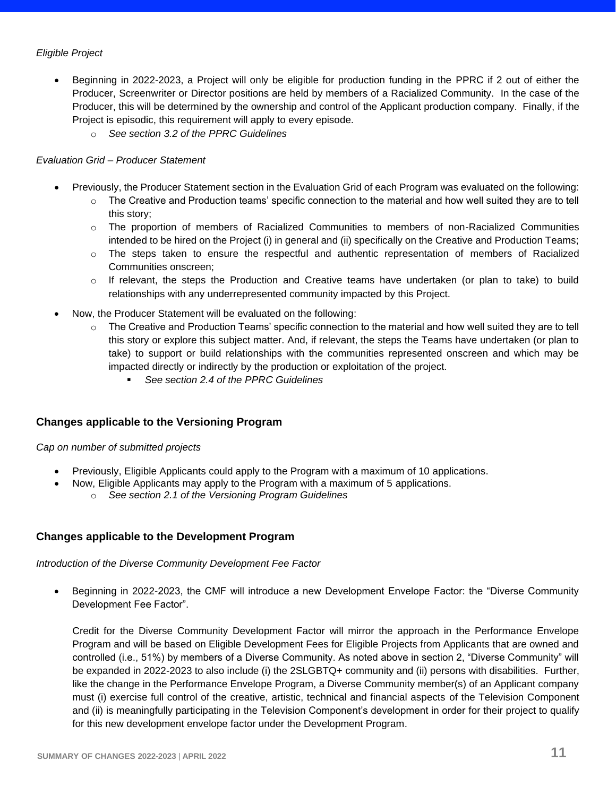## *Eligible Project*

- Beginning in 2022-2023, a Project will only be eligible for production funding in the PPRC if 2 out of either the Producer, Screenwriter or Director positions are held by members of a Racialized Community. In the case of the Producer, this will be determined by the ownership and control of the Applicant production company. Finally, if the Project is episodic, this requirement will apply to every episode.
	- o *See section 3.2 of the PPRC Guidelines*

## *Evaluation Grid – Producer Statement*

- Previously, the Producer Statement section in the Evaluation Grid of each Program was evaluated on the following:
	- $\circ$  The Creative and Production teams' specific connection to the material and how well suited they are to tell this story;
	- $\circ$  The proportion of members of Racialized Communities to members of non-Racialized Communities intended to be hired on the Project (i) in general and (ii) specifically on the Creative and Production Teams;
	- o The steps taken to ensure the respectful and authentic representation of members of Racialized Communities onscreen;
	- o If relevant, the steps the Production and Creative teams have undertaken (or plan to take) to build relationships with any underrepresented community impacted by this Project.
- Now, the Producer Statement will be evaluated on the following:
	- $\circ$  The Creative and Production Teams' specific connection to the material and how well suited they are to tell this story or explore this subject matter. And, if relevant, the steps the Teams have undertaken (or plan to take) to support or build relationships with the communities represented onscreen and which may be impacted directly or indirectly by the production or exploitation of the project.
		- See section 2.4 of the PPRC Guidelines

## <span id="page-10-0"></span>**Changes applicable to the Versioning Program**

## *Cap on number of submitted projects*

- Previously, Eligible Applicants could apply to the Program with a maximum of 10 applications.
	- Now, Eligible Applicants may apply to the Program with a maximum of 5 applications.
		- o *See section 2.1 of the Versioning Program Guidelines*

## <span id="page-10-1"></span>**Changes applicable to the Development Program**

## *Introduction of the Diverse Community Development Fee Factor*

• Beginning in 2022-2023, the CMF will introduce a new Development Envelope Factor: the "Diverse Community Development Fee Factor".

Credit for the Diverse Community Development Factor will mirror the approach in the Performance Envelope Program and will be based on Eligible Development Fees for Eligible Projects from Applicants that are owned and controlled (i.e., 51%) by members of a Diverse Community. As noted above in section 2, "Diverse Community" will be expanded in 2022-2023 to also include (i) the 2SLGBTQ+ community and (ii) persons with disabilities. Further, like the change in the Performance Envelope Program, a Diverse Community member(s) of an Applicant company must (i) exercise full control of the creative, artistic, technical and financial aspects of the Television Component and (ii) is meaningfully participating in the Television Component's development in order for their project to qualify for this new development envelope factor under the Development Program.